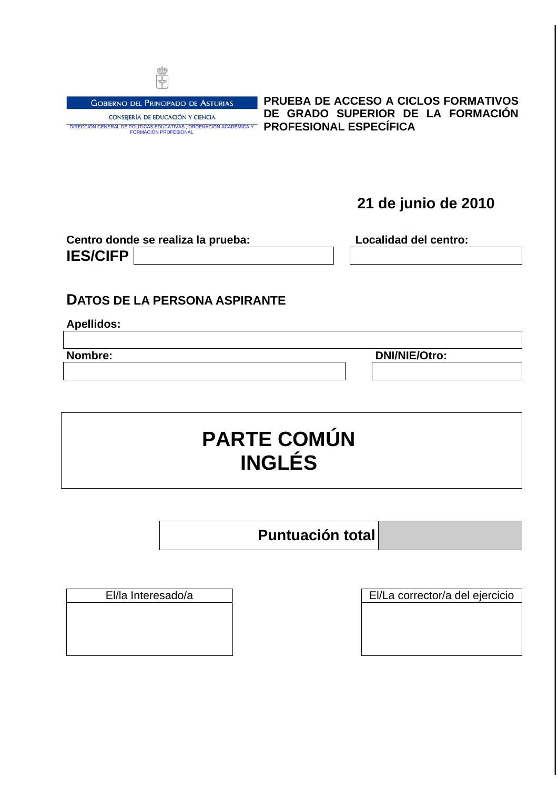

**GOBIERNO DEL PRINCIPADO DE ASTURIAS** CONSEJERÍA DE EDUCACIÓN Y CIENCIA

DIRECCIÓN GENERAL DE POLÍTICAS EDUCATIVAS , ORDENACIÓN ACADÉMICA Y FORMACIÓN PROFESIONAL **PROFESIONAL ESPECÍFICA PRUEBA DE ACCESO A CICLOS FORMATIVOS DE GRADO SUPERIOR DE LA FORMACIÓN** 

**21 de junio de 2010**

| Centro donde se realiza la prueba: |  | Localidad del centro: |  |  |
|------------------------------------|--|-----------------------|--|--|
| <b>IES/CIFP</b>                    |  |                       |  |  |

# **DATOS DE LA PERSONA ASPIRANTE**

**Apellidos:** 

**Nombre:** DNI/NIE/Otro:

**PARTE COMÚN INGLÉS** 

**Puntuación total**

El/la Interesado/a El/La corrector/a del ejercicio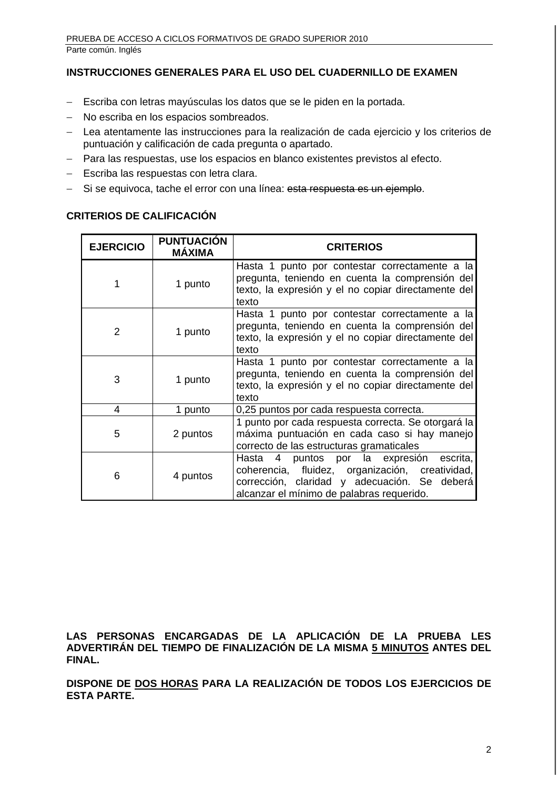# **INSTRUCCIONES GENERALES PARA EL USO DEL CUADERNILLO DE EXAMEN**

- − Escriba con letras mayúsculas los datos que se le piden en la portada.
- No escriba en los espacios sombreados.
- − Lea atentamente las instrucciones para la realización de cada ejercicio y los criterios de puntuación y calificación de cada pregunta o apartado.
- − Para las respuestas, use los espacios en blanco existentes previstos al efecto.
- − Escriba las respuestas con letra clara.
- − Si se equivoca, tache el error con una línea: esta respuesta es un ejemple.

## **CRITERIOS DE CALIFICACIÓN**

| <b>EJERCICIO</b> | <b>PUNTUACIÓN</b><br><b>MÁXIMA</b> | <b>CRITERIOS</b>                                                                                                                                                                            |  |
|------------------|------------------------------------|---------------------------------------------------------------------------------------------------------------------------------------------------------------------------------------------|--|
|                  | 1 punto                            | Hasta 1 punto por contestar correctamente a la<br>pregunta, teniendo en cuenta la comprensión del<br>texto, la expresión y el no copiar directamente del<br>texto                           |  |
| $\overline{2}$   | 1 punto                            | Hasta 1 punto por contestar correctamente a la<br>pregunta, teniendo en cuenta la comprensión del<br>texto, la expresión y el no copiar directamente del<br>texto                           |  |
| 3                | 1 punto                            | Hasta 1 punto por contestar correctamente a la<br>pregunta, teniendo en cuenta la comprensión del<br>texto, la expresión y el no copiar directamente del<br>texto                           |  |
| 4                | 1 punto                            | 0,25 puntos por cada respuesta correcta.                                                                                                                                                    |  |
| 5                | 2 puntos                           | 1 punto por cada respuesta correcta. Se otorgará la<br>máxima puntuación en cada caso si hay manejo<br>correcto de las estructuras gramaticales                                             |  |
| 6                | 4 puntos                           | Hasta 4 puntos por la expresión<br>escrita,<br>coherencia, fluidez, organización, creatividad,<br>corrección, claridad y adecuación. Se deberá<br>alcanzar el mínimo de palabras requerido. |  |

**LAS PERSONAS ENCARGADAS DE LA APLICACIÓN DE LA PRUEBA LES ADVERTIRÁN DEL TIEMPO DE FINALIZACIÓN DE LA MISMA 5 MINUTOS ANTES DEL FINAL.** 

**DISPONE DE DOS HORAS PARA LA REALIZACIÓN DE TODOS LOS EJERCICIOS DE ESTA PARTE.**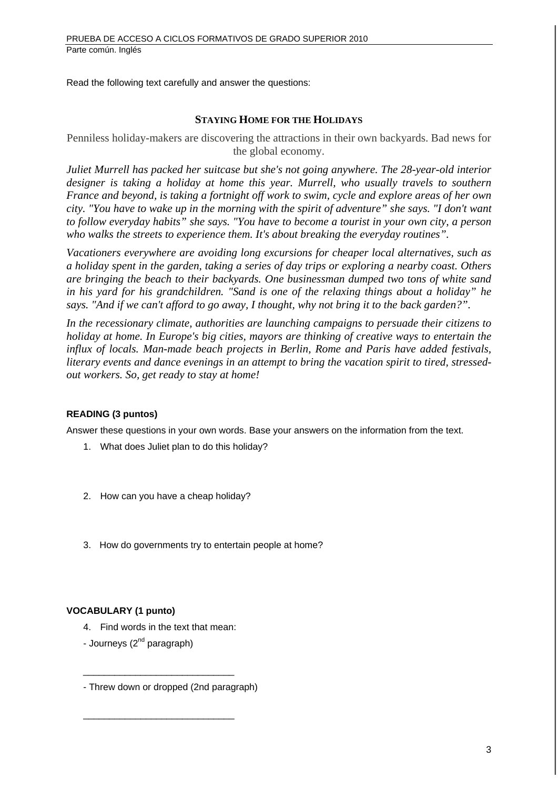Read the following text carefully and answer the questions:

#### **STAYING HOME FOR THE HOLIDAYS**

Penniless holiday-makers are discovering the attractions in their own backyards. Bad news for the global economy.

*Juliet Murrell has packed her suitcase but she's not going anywhere. The 28-year-old interior designer is taking a holiday at home this year. Murrell, who usually travels to southern France and beyond, is taking a fortnight off work to swim, cycle and explore areas of her own city. "You have to wake up in the morning with the spirit of adventure" she says. "I don't want to follow everyday habits" she says. "You have to become a tourist in your own city, a person who walks the streets to experience them. It's about breaking the everyday routines".* 

*Vacationers everywhere are avoiding long excursions for cheaper local alternatives, such as a holiday spent in the garden, taking a series of day trips or exploring a nearby coast. Others are bringing the beach to their backyards. One businessman dumped two tons of white sand in his yard for his grandchildren. "Sand is one of the relaxing things about a holiday" he says. "And if we can't afford to go away, I thought, why not bring it to the back garden?".* 

*In the recessionary climate, authorities are launching campaigns to persuade their citizens to holiday at home. In Europe's big cities, mayors are thinking of creative ways to entertain the influx of locals. Man-made beach projects in Berlin, Rome and Paris have added festivals, literary events and dance evenings in an attempt to bring the vacation spirit to tired, stressedout workers. So, get ready to stay at home!* 

## **READING (3 puntos)**

Answer these questions in your own words. Base your answers on the information from the text.

- 1. What does Juliet plan to do this holiday?
- 2. How can you have a cheap holiday?
- 3. How do governments try to entertain people at home?

## **VOCABULARY (1 punto)**

4. Find words in the text that mean:

\_\_\_\_\_\_\_\_\_\_\_\_\_\_\_\_\_\_\_\_\_\_\_\_\_\_\_\_\_

\_\_\_\_\_\_\_\_\_\_\_\_\_\_\_\_\_\_\_\_\_\_\_\_\_\_\_\_\_

- Journeys  $(2^{nd}$  paragraph)
- Threw down or dropped (2nd paragraph)